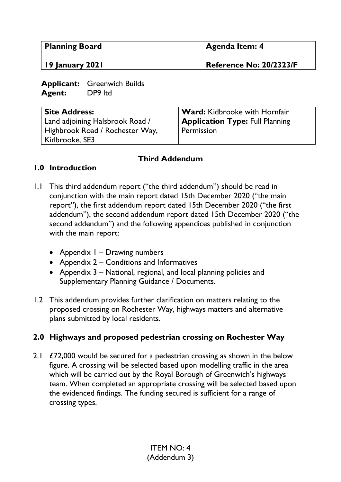| <b>Planning Board</b><br>  19 January 2021 |                                    | Agenda Item: 4          |
|--------------------------------------------|------------------------------------|-------------------------|
|                                            |                                    | Reference No: 20/2323/F |
|                                            | <b>Applicant:</b> Greenwich Builds |                         |

**Agent:** DP9 ltd **Site Address:**  Land adjoining Halsbrook Road / Highbrook Road / Rochester Way, **Ward:** Kidbrooke with Hornfair **Application Type:** Full Planning Permission

### **Third Addendum**

### **1.0 Introduction**

Kidbrooke, SE3

- 1.1 This third addendum report ("the third addendum") should be read in conjunction with the main report dated 15th December 2020 ("the main report"), the first addendum report dated 15th December 2020 ("the first addendum"), the second addendum report dated 15th December 2020 ("the second addendum") and the following appendices published in conjunction with the main report:
	- Appendix I Drawing numbers
	- Appendix 2 Conditions and Informatives
	- Appendix 3 National, regional, and local planning policies and Supplementary Planning Guidance / Documents.
- 1.2 This addendum provides further clarification on matters relating to the proposed crossing on Rochester Way, highways matters and alternative plans submitted by local residents.

# **2.0 Highways and proposed pedestrian crossing on Rochester Way**

2.1  $\angle$  £72,000 would be secured for a pedestrian crossing as shown in the below figure. A crossing will be selected based upon modelling traffic in the area which will be carried out by the Royal Borough of Greenwich's highways team. When completed an appropriate crossing will be selected based upon the evidenced findings. The funding secured is sufficient for a range of crossing types.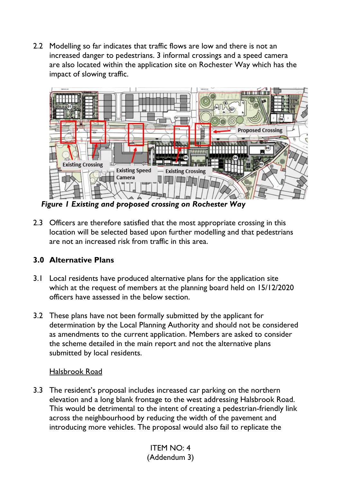2.2 Modelling so far indicates that traffic flows are low and there is not an increased danger to pedestrians. 3 informal crossings and a speed camera are also located within the application site on Rochester Way which has the impact of slowing traffic.



*Figure 1 Existing and proposed crossing on Rochester Way* 

2.3 Officers are therefore satisfied that the most appropriate crossing in this location will be selected based upon further modelling and that pedestrians are not an increased risk from traffic in this area.

# **3.0 Alternative Plans**

- 3.1 Local residents have produced alternative plans for the application site which at the request of members at the planning board held on 15/12/2020 officers have assessed in the below section.
- 3.2 These plans have not been formally submitted by the applicant for determination by the Local Planning Authority and should not be considered as amendments to the current application. Members are asked to consider the scheme detailed in the main report and not the alternative plans submitted by local residents.

# Halsbrook Road

3.3 The resident's proposal includes increased car parking on the northern elevation and a long blank frontage to the west addressing Halsbrook Road. This would be detrimental to the intent of creating a pedestrian-friendly link across the neighbourhood by reducing the width of the pavement and introducing more vehicles. The proposal would also fail to replicate the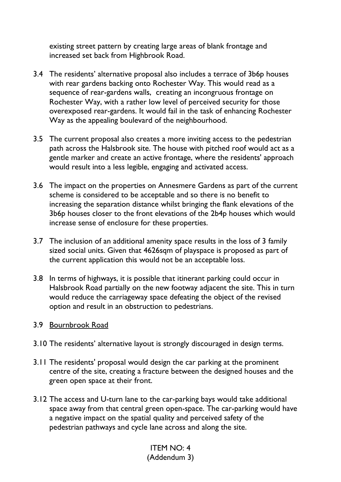existing street pattern by creating large areas of blank frontage and increased set back from Highbrook Road.

- 3.4 The residents' alternative proposal also includes a terrace of 3b6p houses with rear gardens backing onto Rochester Way. This would read as a sequence of rear-gardens walls, creating an incongruous frontage on Rochester Way, with a rather low level of perceived security for those overexposed rear-gardens. It would fail in the task of enhancing Rochester Way as the appealing boulevard of the neighbourhood.
- 3.5 The current proposal also creates a more inviting access to the pedestrian path across the Halsbrook site. The house with pitched roof would act as a gentle marker and create an active frontage, where the residents' approach would result into a less legible, engaging and activated access.
- 3.6 The impact on the properties on Annesmere Gardens as part of the current scheme is considered to be acceptable and so there is no benefit to increasing the separation distance whilst bringing the flank elevations of the 3b6p houses closer to the front elevations of the 2b4p houses which would increase sense of enclosure for these properties.
- 3.7 The inclusion of an additional amenity space results in the loss of 3 family sized social units. Given that 4626sqm of playspace is proposed as part of the current application this would not be an acceptable loss.
- 3.8 In terms of highways, it is possible that itinerant parking could occur in Halsbrook Road partially on the new footway adjacent the site. This in turn would reduce the carriageway space defeating the object of the revised option and result in an obstruction to pedestrians.

#### 3.9 Bournbrook Road

- 3.10 The residents' alternative layout is strongly discouraged in design terms.
- 3.11 The residents' proposal would design the car parking at the prominent centre of the site, creating a fracture between the designed houses and the green open space at their front.
- 3.12 The access and U-turn lane to the car-parking bays would take additional space away from that central green open-space. The car-parking would have a negative impact on the spatial quality and perceived safety of the pedestrian pathways and cycle lane across and along the site.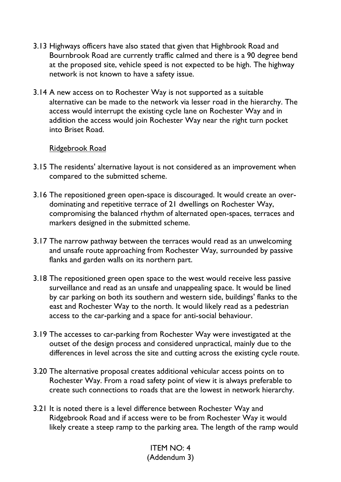- 3.13 Highways officers have also stated that given that Highbrook Road and Bournbrook Road are currently traffic calmed and there is a 90 degree bend at the proposed site, vehicle speed is not expected to be high. The highway network is not known to have a safety issue.
- 3.14 A new access on to Rochester Way is not supported as a suitable alternative can be made to the network via lesser road in the hierarchy. The access would interrupt the existing cycle lane on Rochester Way and in addition the access would join Rochester Way near the right turn pocket into Briset Road.

#### Ridgebrook Road

- 3.15 The residents' alternative layout is not considered as an improvement when compared to the submitted scheme.
- 3.16 The repositioned green open-space is discouraged. It would create an overdominating and repetitive terrace of 21 dwellings on Rochester Way, compromising the balanced rhythm of alternated open-spaces, terraces and markers designed in the submitted scheme.
- 3.17 The narrow pathway between the terraces would read as an unwelcoming and unsafe route approaching from Rochester Way, surrounded by passive flanks and garden walls on its northern part.
- 3.18 The repositioned green open space to the west would receive less passive surveillance and read as an unsafe and unappealing space. It would be lined by car parking on both its southern and western side, buildings' flanks to the east and Rochester Way to the north. It would likely read as a pedestrian access to the car-parking and a space for anti-social behaviour.
- 3.19 The accesses to car-parking from Rochester Way were investigated at the outset of the design process and considered unpractical, mainly due to the differences in level across the site and cutting across the existing cycle route.
- 3.20 The alternative proposal creates additional vehicular access points on to Rochester Way. From a road safety point of view it is always preferable to create such connections to roads that are the lowest in network hierarchy.
- 3.21 It is noted there is a level difference between Rochester Way and Ridgebrook Road and if access were to be from Rochester Way it would likely create a steep ramp to the parking area. The length of the ramp would